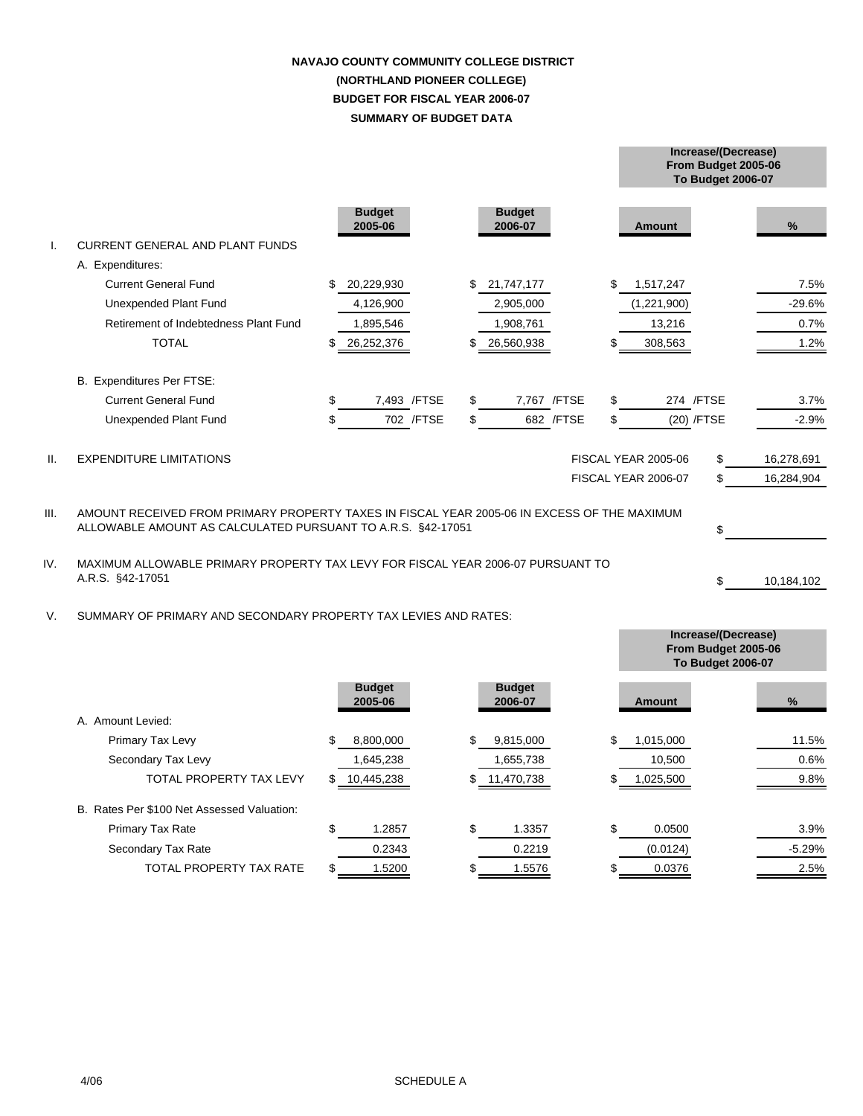## **SUMMARY OF BUDGET DATA NAVAJO COUNTY COMMUNITY COLLEGE DISTRICT (NORTHLAND PIONEER COLLEGE) BUDGET FOR FISCAL YEAR 2006-07**

**From Budget 2005-06**

**Increase/(Decrease)**

|                 |                                                                                                                                                            |    |                          |              |    |                          |              |    |                     | <b>To Budget 2006-07</b> |            |
|-----------------|------------------------------------------------------------------------------------------------------------------------------------------------------------|----|--------------------------|--------------|----|--------------------------|--------------|----|---------------------|--------------------------|------------|
|                 | <b>CURRENT GENERAL AND PLANT FUNDS</b>                                                                                                                     |    | <b>Budget</b><br>2005-06 |              |    | <b>Budget</b><br>2006-07 |              |    | Amount              |                          | %          |
|                 | A. Expenditures:                                                                                                                                           |    |                          |              |    |                          |              |    |                     |                          |            |
|                 | <b>Current General Fund</b>                                                                                                                                | \$ | 20,229,930               |              | \$ | 21,747,177               |              | \$ | 1,517,247           |                          | 7.5%       |
|                 | Unexpended Plant Fund                                                                                                                                      |    | 4,126,900                |              |    | 2,905,000                |              |    | (1,221,900)         |                          | $-29.6%$   |
|                 | Retirement of Indebtedness Plant Fund                                                                                                                      |    | 1,895,546                |              |    | 1,908,761                |              |    | 13,216              |                          | 0.7%       |
|                 | <b>TOTAL</b>                                                                                                                                               |    | 26,252,376               |              |    | 26,560,938               |              |    | 308,563             |                          | 1.2%       |
|                 | B. Expenditures Per FTSE:                                                                                                                                  |    |                          |              |    |                          |              |    |                     |                          |            |
|                 | <b>Current General Fund</b>                                                                                                                                | \$ |                          | 7,493 / FTSE | £. |                          | 7,767 / FTSE | \$ |                     | 274 / FTSE               | 3.7%       |
|                 | Unexpended Plant Fund                                                                                                                                      | \$ |                          | 702 / FTSE   | \$ |                          | 682 / FTSE   | \$ |                     | (20) /FTSE               | $-2.9%$    |
| $\mathbf{II}$ . | <b>EXPENDITURE LIMITATIONS</b>                                                                                                                             |    |                          |              |    |                          |              |    | FISCAL YEAR 2005-06 | \$                       | 16,278,691 |
|                 |                                                                                                                                                            |    |                          |              |    |                          |              |    | FISCAL YEAR 2006-07 | \$                       | 16,284,904 |
| III.            | AMOUNT RECEIVED FROM PRIMARY PROPERTY TAXES IN FISCAL YEAR 2005-06 IN EXCESS OF THE MAXIMUM<br>ALLOWABLE AMOUNT AS CALCULATED PURSUANT TO A.R.S. §42-17051 |    |                          |              |    |                          |              |    | \$                  |                          |            |
| IV.             | MAXIMUM ALLOWABLE PRIMARY PROPERTY TAX LEVY FOR FISCAL YEAR 2006-07 PURSUANT TO<br>A.R.S. §42-17051                                                        |    |                          |              |    |                          |              |    | \$                  | 10,184,102               |            |
| $V_{\cdot}$     | SUMMARY OF PRIMARY AND SECONDARY PROPERTY TAX LEVIES AND RATES:                                                                                            |    |                          |              |    |                          |              |    |                     |                          |            |

|                                            |                          |                          | From Budget 2005-06<br><b>To Budget 2006-07</b> |          |  |
|--------------------------------------------|--------------------------|--------------------------|-------------------------------------------------|----------|--|
|                                            | <b>Budget</b><br>2005-06 | <b>Budget</b><br>2006-07 | Amount                                          | %        |  |
| A. Amount Levied:                          |                          |                          |                                                 |          |  |
| Primary Tax Levy                           | \$<br>8,800,000          | \$<br>9,815,000          | \$<br>1,015,000                                 | 11.5%    |  |
| Secondary Tax Levy                         | 1,645,238                | 1,655,738                | 10,500                                          | 0.6%     |  |
| <b>TOTAL PROPERTY TAX LEVY</b>             | \$<br>10,445,238         | \$11,470,738             | 1,025,500                                       | 9.8%     |  |
| B. Rates Per \$100 Net Assessed Valuation: |                          |                          |                                                 |          |  |
| <b>Primary Tax Rate</b>                    | \$<br>1.2857             | \$<br>1.3357             | \$<br>0.0500                                    | 3.9%     |  |
| Secondary Tax Rate                         | 0.2343                   | 0.2219                   | (0.0124)                                        | $-5.29%$ |  |
| TOTAL PROPERTY TAX RATE                    | 1.5200                   | 1.5576<br>S              | 0.0376                                          | 2.5%     |  |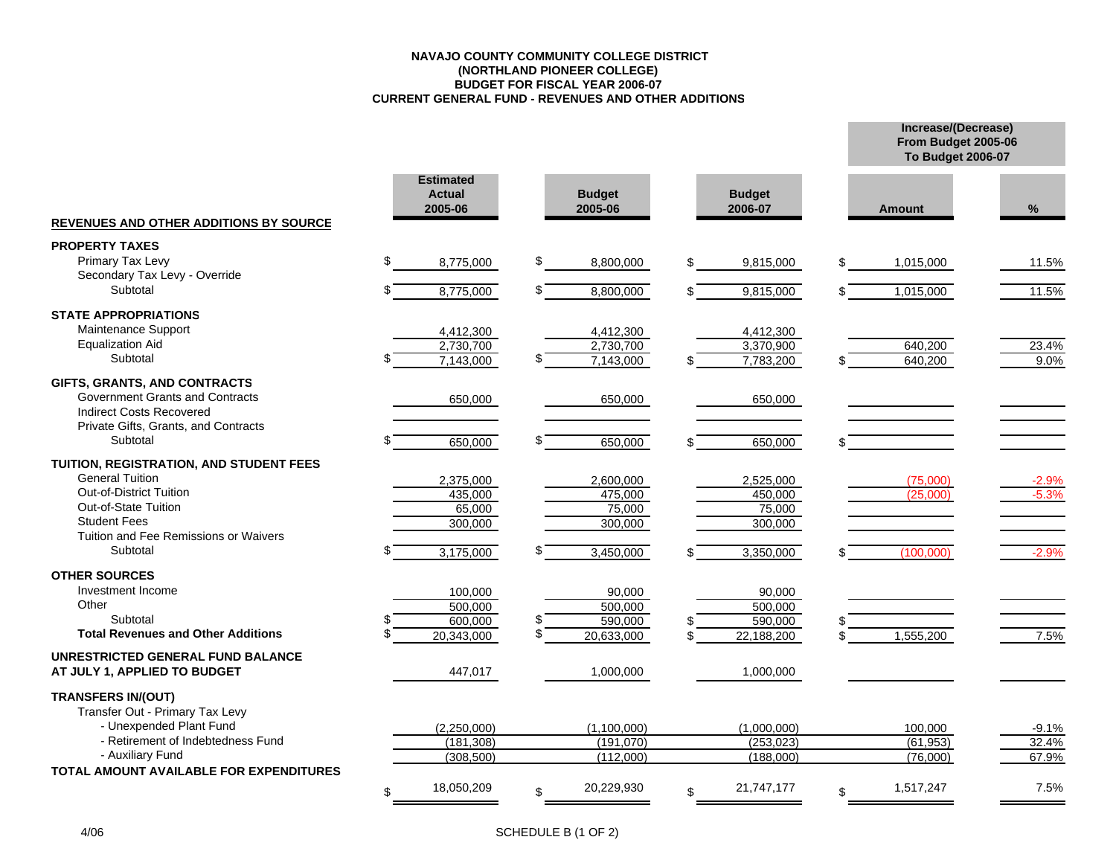#### **NAVAJO COUNTY COMMUNITY COLLEGE DISTRICT (NORTHLAND PIONEER COLLEGE) BUDGET FOR FISCAL YEAR 2006-07 CURRENT GENERAL FUND - REVENUES AND OTHER ADDITIONS**

**Increase/(Decrease) From Budget 2005-06**

|                                                                           |                                              |                          |                          | <b>To Budget 2006-07</b> |         |
|---------------------------------------------------------------------------|----------------------------------------------|--------------------------|--------------------------|--------------------------|---------|
|                                                                           | <b>Estimated</b><br><b>Actual</b><br>2005-06 | <b>Budget</b><br>2005-06 | <b>Budget</b><br>2006-07 | <b>Amount</b>            | %       |
| <b>REVENUES AND OTHER ADDITIONS BY SOURCE</b>                             |                                              |                          |                          |                          |         |
| <b>PROPERTY TAXES</b>                                                     |                                              |                          |                          |                          |         |
| Primary Tax Levy<br>Secondary Tax Levy - Override                         | \$<br>8,775,000                              | \$<br>8,800,000          | \$<br>9,815,000          | \$<br>1,015,000          | 11.5%   |
| Subtotal                                                                  | 8,775,000                                    | 8,800,000                | 9,815,000                | 1,015,000                | 11.5%   |
| <b>STATE APPROPRIATIONS</b>                                               |                                              |                          |                          |                          |         |
| Maintenance Support                                                       | 4,412,300                                    | 4,412,300                | 4,412,300                |                          |         |
| <b>Equalization Aid</b>                                                   | 2,730,700                                    | 2,730,700                | 3,370,900                | 640,200                  | 23.4%   |
| Subtotal                                                                  | 7,143,000                                    | 7,143,000                | 7,783,200                | 640,200                  | 9.0%    |
| GIFTS, GRANTS, AND CONTRACTS                                              |                                              |                          |                          |                          |         |
| <b>Government Grants and Contracts</b><br><b>Indirect Costs Recovered</b> | 650,000                                      | 650,000                  | 650,000                  |                          |         |
| Private Gifts, Grants, and Contracts                                      |                                              |                          |                          |                          |         |
| Subtotal                                                                  | 650,000                                      | 650,000                  | 650,000                  |                          |         |
| TUITION, REGISTRATION, AND STUDENT FEES                                   |                                              |                          |                          |                          |         |
| <b>General Tuition</b>                                                    | 2,375,000                                    | 2,600,000                | 2,525,000                | (75.000)                 | $-2.9%$ |
| Out-of-District Tuition<br><b>Out-of-State Tuition</b>                    | 435,000                                      | 475,000                  | 450,000                  | (25,000)                 | $-5.3%$ |
| <b>Student Fees</b>                                                       | 65,000<br>300,000                            | 75,000<br>300,000        | 75,000<br>300,000        |                          |         |
| Tuition and Fee Remissions or Waivers                                     |                                              |                          |                          |                          |         |
| Subtotal                                                                  | 3,175,000                                    | 3,450,000                | 3,350,000                | (100,000)                | $-2.9%$ |
| <b>OTHER SOURCES</b>                                                      |                                              |                          |                          |                          |         |
| Investment Income                                                         | 100,000                                      | 90,000                   | 90,000                   |                          |         |
| Other<br>Subtotal                                                         | 500,000<br>600,000                           | 500,000<br>\$<br>590,000 | 500,000<br>590,000       |                          |         |
| <b>Total Revenues and Other Additions</b>                                 | 20,343,000                                   | \$<br>20,633,000         | 22,188,200               | 1,555,200                | 7.5%    |
| UNRESTRICTED GENERAL FUND BALANCE                                         |                                              |                          |                          |                          |         |
| AT JULY 1, APPLIED TO BUDGET                                              | 447,017                                      | 1,000,000                | 1,000,000                |                          |         |
|                                                                           |                                              |                          |                          |                          |         |
| <b>TRANSFERS IN/(OUT)</b><br>Transfer Out - Primary Tax Levy              |                                              |                          |                          |                          |         |
| - Unexpended Plant Fund                                                   | (2,250,000)                                  | (1,100,000)              | (1,000,000)              | 100,000                  | $-9.1%$ |
| - Retirement of Indebtedness Fund                                         | (181, 308)                                   | (191,070)                | (253, 023)               | (61, 953)                | 32.4%   |
| - Auxiliary Fund<br>TOTAL AMOUNT AVAILABLE FOR EXPENDITURES               | (308, 500)                                   | (112,000)                | (188,000)                | (76,000)                 | 67.9%   |
|                                                                           | 18,050,209                                   | 20,229,930               | 21,747,177               | 1,517,247                | 7.5%    |
|                                                                           | ß.                                           | \$                       |                          | \$                       |         |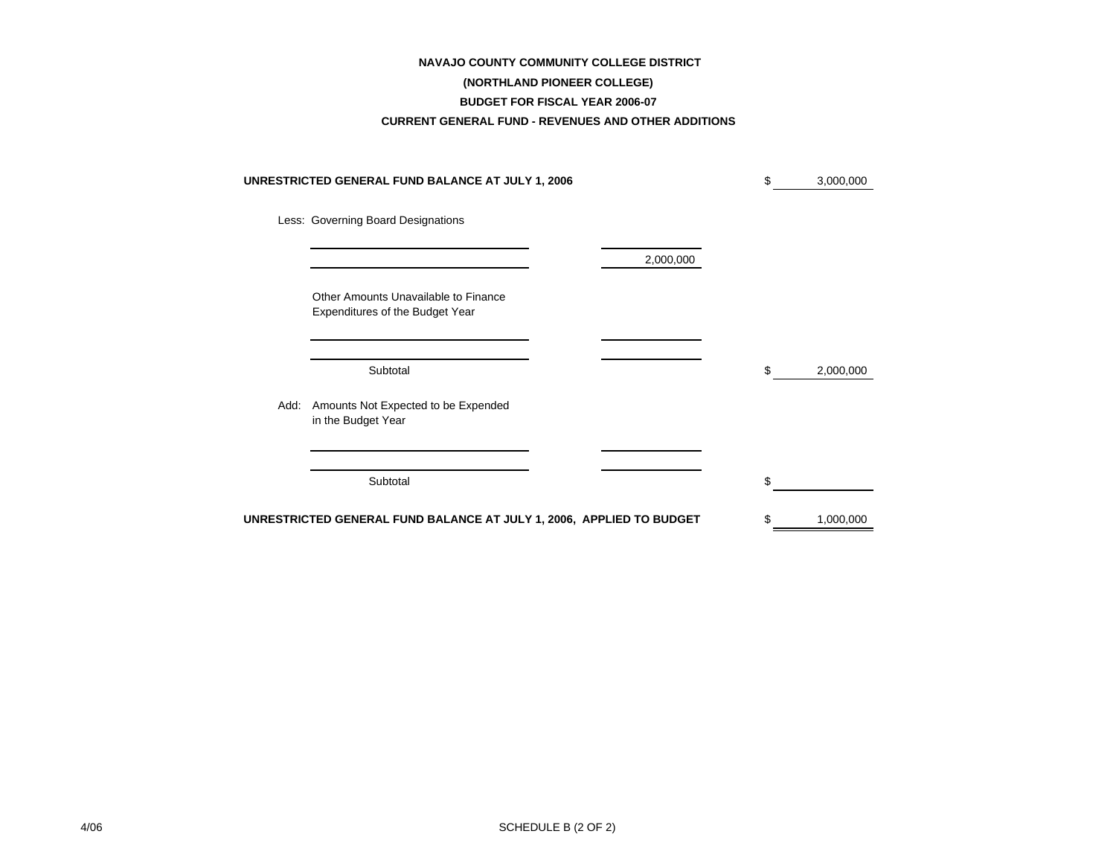#### **NAVAJO COUNTY COMMUNITY COLLEGE DISTRICT**

# **(NORTHLAND PIONEER COLLEGE)**

#### **BUDGET FOR FISCAL YEAR 2006-07**

#### **CURRENT GENERAL FUND - REVENUES AND OTHER ADDITIONS**

|      | UNRESTRICTED GENERAL FUND BALANCE AT JULY 1, 2006                       |           | \$ | 3,000,000 |
|------|-------------------------------------------------------------------------|-----------|----|-----------|
|      | Less: Governing Board Designations                                      |           |    |           |
|      |                                                                         | 2,000,000 |    |           |
|      | Other Amounts Unavailable to Finance<br>Expenditures of the Budget Year |           |    |           |
|      | Subtotal                                                                |           | S  | 2,000,000 |
| Add: | Amounts Not Expected to be Expended<br>in the Budget Year               |           |    |           |
|      | Subtotal                                                                |           | \$ |           |
|      | UNRESTRICTED GENERAL FUND BALANCE AT JULY 1, 2006, APPLIED TO BUDGET    |           | \$ | 1,000,000 |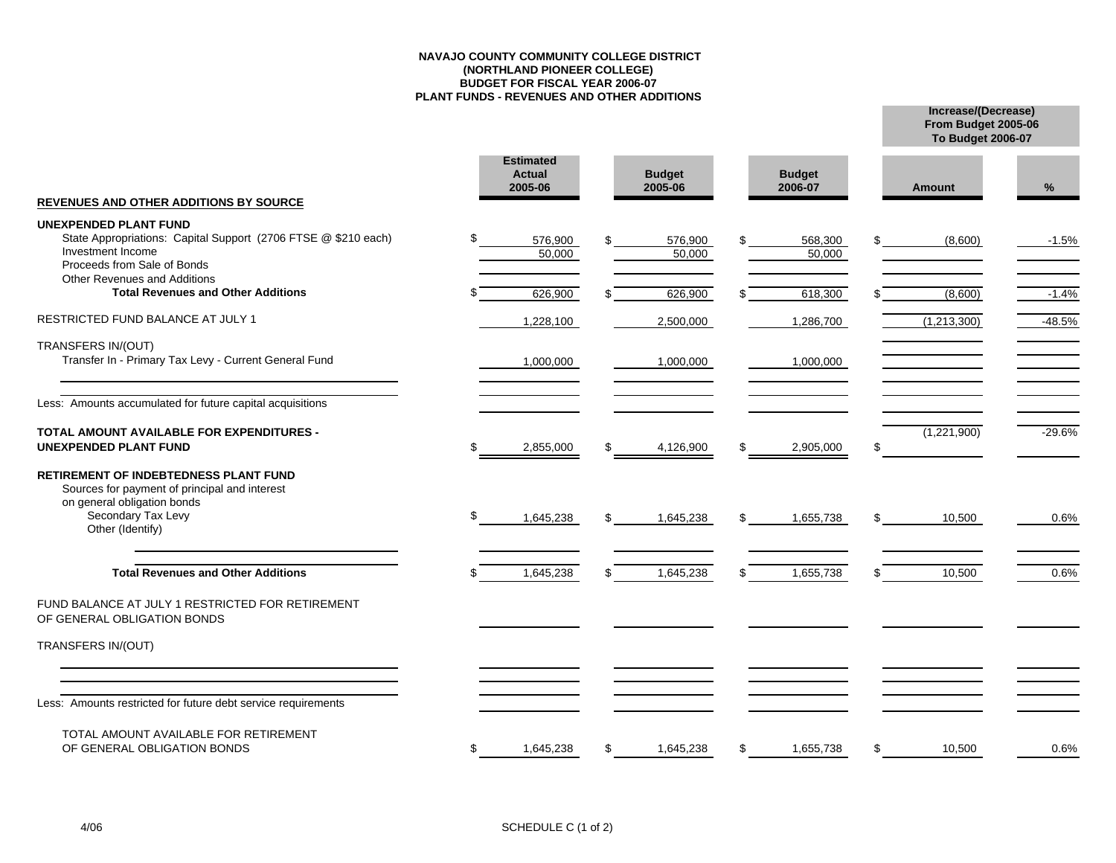#### **NAVAJO COUNTY COMMUNITY COLLEGE DISTRICT(NORTHLAND PIONEER COLLEGE) BUDGET FOR FISCAL YEAR 2006-07 PLANT FUNDS - REVENUES AND OTHER ADDITIONS**

**Increase/(Decrease) To Budget 2006-07**

**From Budget 2005-06**

|                                                                                                                                                                        | <b>Estimated</b><br><b>Actual</b><br>2005-06 |     | <b>Budget</b><br>2005-06 |     | <b>Budget</b><br>2006-07 |     | <b>Amount</b> | %        |
|------------------------------------------------------------------------------------------------------------------------------------------------------------------------|----------------------------------------------|-----|--------------------------|-----|--------------------------|-----|---------------|----------|
| <b>REVENUES AND OTHER ADDITIONS BY SOURCE</b>                                                                                                                          |                                              |     |                          |     |                          |     |               |          |
| <b>UNEXPENDED PLANT FUND</b><br>State Appropriations: Capital Support (2706 FTSE @ \$210 each)<br>Investment Income<br>Proceeds from Sale of Bonds                     | 576,900<br>50,000                            |     | 576,900<br>50,000        | \$  | 568,300<br>50,000        | \$  | (8,600)       | $-1.5%$  |
| <b>Other Revenues and Additions</b><br><b>Total Revenues and Other Additions</b>                                                                                       | 626,900                                      |     | 626,900                  |     | 618,300                  |     | (8,600)       | $-1.4%$  |
| RESTRICTED FUND BALANCE AT JULY 1                                                                                                                                      | 1,228,100                                    |     | 2,500,000                |     | 1,286,700                |     | (1,213,300)   | $-48.5%$ |
| <b>TRANSFERS IN/(OUT)</b><br>Transfer In - Primary Tax Levy - Current General Fund                                                                                     | 1,000,000                                    |     | 1,000,000                |     | 1,000,000                |     |               |          |
| Less: Amounts accumulated for future capital acquisitions                                                                                                              |                                              |     |                          |     |                          |     |               |          |
| <b>TOTAL AMOUNT AVAILABLE FOR EXPENDITURES -</b><br><b>UNEXPENDED PLANT FUND</b>                                                                                       | \$<br>2,855,000                              | \$  | 4,126,900                | \$  | 2,905,000                | \$  | (1,221,900)   | $-29.6%$ |
| <b>RETIREMENT OF INDEBTEDNESS PLANT FUND</b><br>Sources for payment of principal and interest<br>on general obligation bonds<br>Secondary Tax Levy<br>Other (Identify) | \$<br>1,645,238                              | \$. | 1,645,238                | \$  | 1,655,738                | \$. | 10,500        | 0.6%     |
| <b>Total Revenues and Other Additions</b>                                                                                                                              | 1,645,238                                    |     | 1,645,238                | \$. | 1,655,738                | ß.  | 10,500        | 0.6%     |
| FUND BALANCE AT JULY 1 RESTRICTED FOR RETIREMENT<br>OF GENERAL OBLIGATION BONDS                                                                                        |                                              |     |                          |     |                          |     |               |          |
| TRANSFERS IN/(OUT)                                                                                                                                                     |                                              |     |                          |     |                          |     |               |          |
|                                                                                                                                                                        |                                              |     |                          |     |                          |     |               |          |
| Less: Amounts restricted for future debt service requirements                                                                                                          |                                              |     |                          |     |                          |     |               |          |
| TOTAL AMOUNT AVAILABLE FOR RETIREMENT<br>OF GENERAL OBLIGATION BONDS                                                                                                   | \$<br>1,645,238                              | \$  | 1,645,238                | \$  | 1,655,738                | \$  | 10,500        | 0.6%     |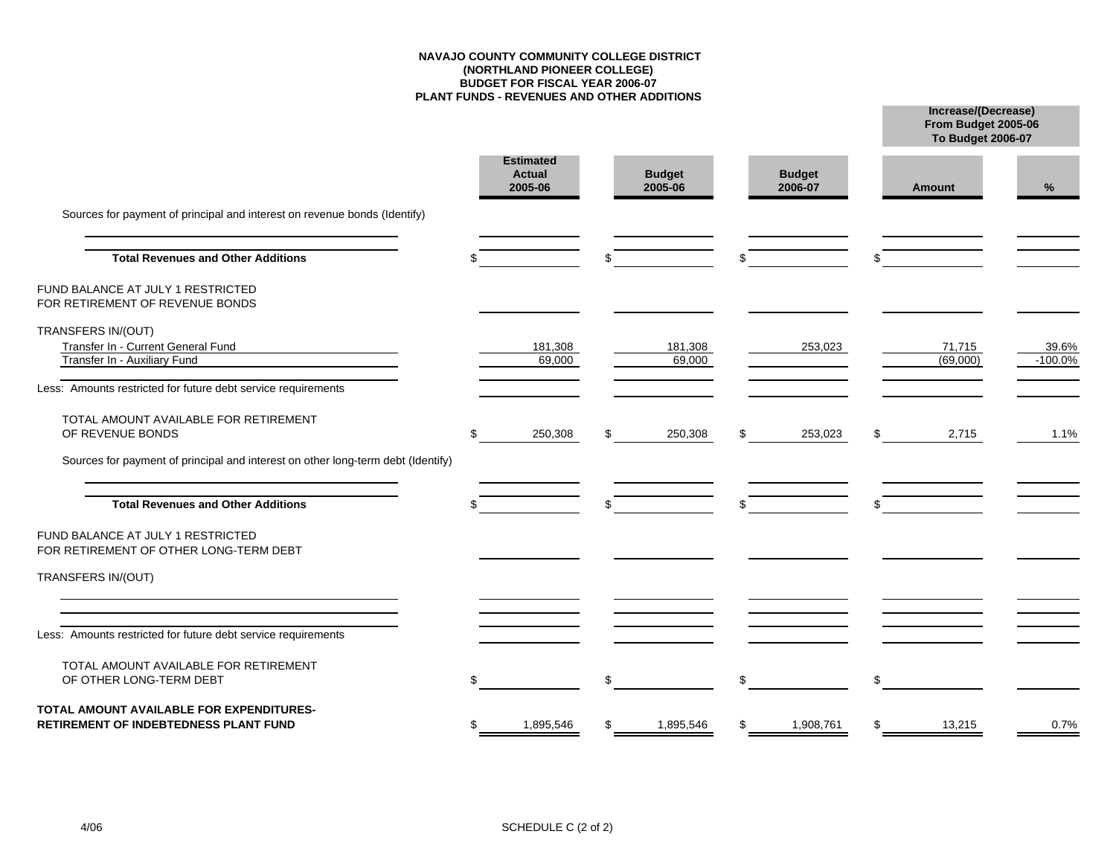#### **NAVAJO COUNTY COMMUNITY COLLEGE DISTRICT(NORTHLAND PIONEER COLLEGE) BUDGET FOR FISCAL YEAR 2006-07 PLANT FUNDS - REVENUES AND OTHER ADDITIONS**

**Increase/(Decrease)**

**From Budget 2005-06**

|                                                                                   |                                              |     |                          |     |                          | <b>To Budget 2006-07</b> |           |
|-----------------------------------------------------------------------------------|----------------------------------------------|-----|--------------------------|-----|--------------------------|--------------------------|-----------|
|                                                                                   | <b>Estimated</b><br><b>Actual</b><br>2005-06 |     | <b>Budget</b><br>2005-06 |     | <b>Budget</b><br>2006-07 | <b>Amount</b>            | %         |
| Sources for payment of principal and interest on revenue bonds (Identify)         |                                              |     |                          |     |                          |                          |           |
| <b>Total Revenues and Other Additions</b>                                         |                                              |     |                          | \$  |                          |                          |           |
| FUND BALANCE AT JULY 1 RESTRICTED<br>FOR RETIREMENT OF REVENUE BONDS              |                                              |     |                          |     |                          |                          |           |
| TRANSFERS IN/(OUT)<br>Transfer In - Current General Fund                          | 181,308                                      |     | 181,308                  |     | 253,023                  | 71,715                   | 39.6%     |
| Transfer In - Auxiliary Fund                                                      | 69,000                                       |     | 69,000                   |     |                          | (69,000)                 | $-100.0%$ |
| Less: Amounts restricted for future debt service requirements                     |                                              |     |                          |     |                          |                          |           |
| TOTAL AMOUNT AVAILABLE FOR RETIREMENT<br>OF REVENUE BONDS                         | \$<br>250,308                                | \$. | 250,308                  | \$  | 253,023                  | \$<br>2,715              | 1.1%      |
| Sources for payment of principal and interest on other long-term debt (Identify)  |                                              |     |                          |     |                          |                          |           |
| <b>Total Revenues and Other Additions</b>                                         |                                              |     |                          | \$. |                          |                          |           |
| FUND BALANCE AT JULY 1 RESTRICTED<br>FOR RETIREMENT OF OTHER LONG-TERM DEBT       |                                              |     |                          |     |                          |                          |           |
| TRANSFERS IN/(OUT)                                                                |                                              |     |                          |     |                          |                          |           |
| Less: Amounts restricted for future debt service requirements                     |                                              |     |                          |     |                          |                          |           |
| TOTAL AMOUNT AVAILABLE FOR RETIREMENT<br>OF OTHER LONG-TERM DEBT                  |                                              |     |                          | \$  |                          | \$                       |           |
| TOTAL AMOUNT AVAILABLE FOR EXPENDITURES-<br>RETIREMENT OF INDEBTEDNESS PLANT FUND | 1,895,546                                    |     | 1,895,546                | \$  | 1,908,761                | \$<br>13,215             | 0.7%      |
|                                                                                   |                                              |     |                          |     |                          |                          |           |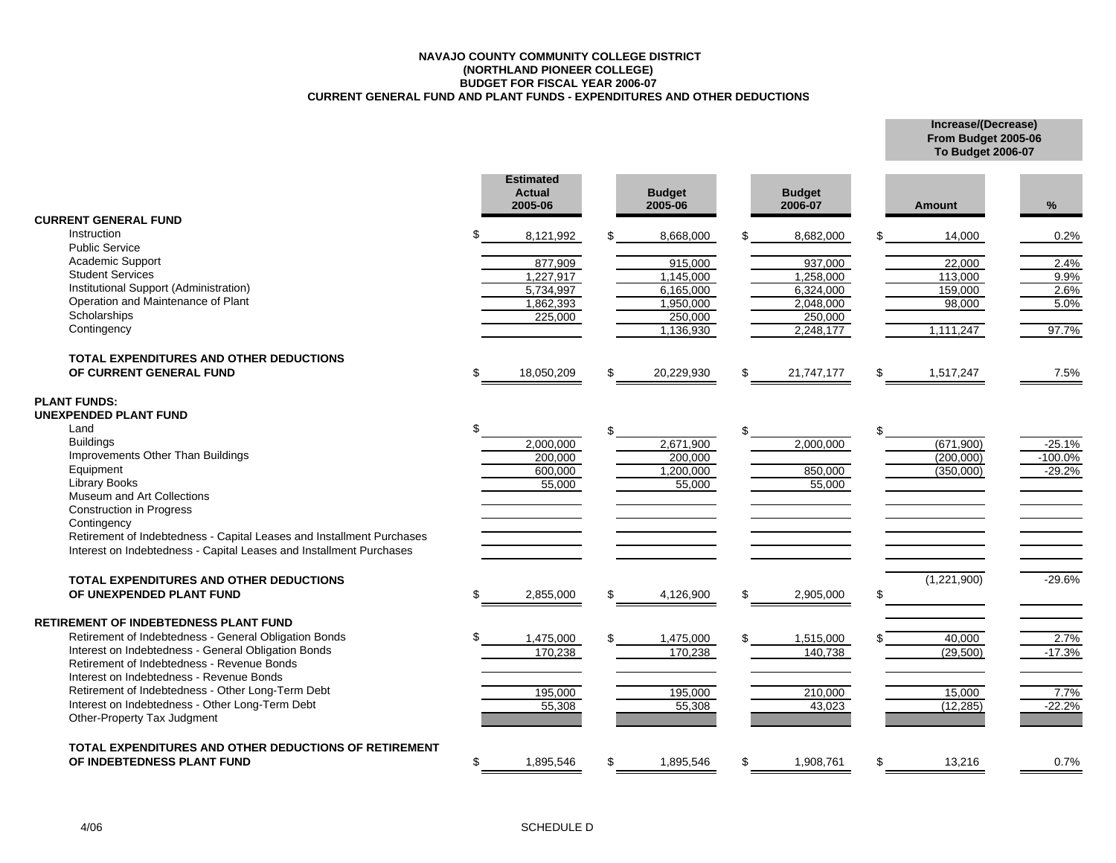#### **NAVAJO COUNTY COMMUNITY COLLEGE DISTRICT(NORTHLAND PIONEER COLLEGE) BUDGET FOR FISCAL YEAR 2006-07 CURRENT GENERAL FUND AND PLANT FUNDS - EXPENDITURES AND OTHER DEDUCTIONS**

**Increase/(Decrease) From Budget 2005-06 To Budget 2006-07**

|                                                                                                                                              | <b>Estimated</b><br><b>Actual</b><br>2005-06 | <b>Budget</b><br>2005-06 | <b>Budget</b><br>2006-07 | <b>Amount</b>   | %         |
|----------------------------------------------------------------------------------------------------------------------------------------------|----------------------------------------------|--------------------------|--------------------------|-----------------|-----------|
| <b>CURRENT GENERAL FUND</b>                                                                                                                  |                                              |                          |                          |                 |           |
| <b>Instruction</b>                                                                                                                           | 8,121,992                                    | 8,668,000                | \$<br>8,682,000          | 14,000          | 0.2%      |
| <b>Public Service</b>                                                                                                                        |                                              |                          |                          |                 |           |
| Academic Support                                                                                                                             | 877,909                                      | 915.000                  | 937.000                  | 22.000          | 2.4%      |
| <b>Student Services</b>                                                                                                                      | 1,227,917                                    | 1,145,000                | 1,258,000                | 113,000         | 9.9%      |
| Institutional Support (Administration)                                                                                                       | 5,734,997                                    | 6,165,000                | 6,324,000                | 159,000         | 2.6%      |
| Operation and Maintenance of Plant<br>Scholarships                                                                                           | 1,862,393                                    | 1,950,000                | 2,048,000                | 98,000          | 5.0%      |
| Contingency                                                                                                                                  | 225,000                                      | 250,000                  | 250,000                  |                 |           |
|                                                                                                                                              |                                              | 1,136,930                | 2,248,177                | 1,111,247       | 97.7%     |
| <b>TOTAL EXPENDITURES AND OTHER DEDUCTIONS</b>                                                                                               |                                              |                          |                          |                 |           |
| OF CURRENT GENERAL FUND                                                                                                                      | 18,050,209                                   | \$<br>20,229,930         | \$<br>21,747,177         | \$<br>1,517,247 | 7.5%      |
| <b>PLANT FUNDS:</b><br>UNEXPENDED PLANT FUND                                                                                                 |                                              |                          |                          |                 |           |
| Land                                                                                                                                         |                                              | \$                       | \$                       | \$              |           |
| <b>Buildings</b>                                                                                                                             | 2,000,000                                    | 2,671,900                | 2,000,000                | (671,900)       | $-25.1%$  |
| Improvements Other Than Buildings                                                                                                            | 200,000                                      | 200.000                  |                          | (200,000)       | $-100.0%$ |
| Equipment                                                                                                                                    | 600,000                                      | 1,200,000                | 850,000                  | (350,000)       | $-29.2%$  |
| Library Books                                                                                                                                | 55,000                                       | 55,000                   | 55,000                   |                 |           |
| Museum and Art Collections                                                                                                                   |                                              |                          |                          |                 |           |
| <b>Construction in Progress</b>                                                                                                              |                                              |                          |                          |                 |           |
| Contingency                                                                                                                                  |                                              |                          |                          |                 |           |
| Retirement of Indebtedness - Capital Leases and Installment Purchases<br>Interest on Indebtedness - Capital Leases and Installment Purchases |                                              |                          |                          |                 |           |
| <b>TOTAL EXPENDITURES AND OTHER DEDUCTIONS</b>                                                                                               |                                              |                          |                          | (1,221,900)     | $-29.6%$  |
| OF UNEXPENDED PLANT FUND                                                                                                                     | \$<br>2,855,000                              | \$<br>4,126,900          | \$<br>2,905,000          | \$              |           |
| <b>RETIREMENT OF INDEBTEDNESS PLANT FUND</b>                                                                                                 |                                              |                          |                          |                 |           |
| Retirement of Indebtedness - General Obligation Bonds                                                                                        | 1,475,000                                    | 1,475,000                | 1,515,000                | 40,000          | 2.7%      |
| Interest on Indebtedness - General Obligation Bonds                                                                                          | 170,238                                      | 170,238                  | 140,738                  | (29, 500)       | $-17.3%$  |
| Retirement of Indebtedness - Revenue Bonds                                                                                                   |                                              |                          |                          |                 |           |
| Interest on Indebtedness - Revenue Bonds                                                                                                     |                                              |                          |                          |                 |           |
| Retirement of Indebtedness - Other Long-Term Debt                                                                                            | 195,000                                      | 195.000                  | 210,000                  | 15,000          | 7.7%      |
| Interest on Indebtedness - Other Long-Term Debt                                                                                              | 55,308                                       | 55,308                   | 43,023                   | (12, 285)       | $-22.2%$  |
| Other-Property Tax Judgment                                                                                                                  |                                              |                          |                          |                 |           |
| TOTAL EXPENDITURES AND OTHER DEDUCTIONS OF RETIREMENT                                                                                        |                                              |                          |                          |                 |           |
| OF INDEBTEDNESS PLANT FUND                                                                                                                   | 1,895,546                                    | 1,895,546                | \$<br>1,908,761          | \$<br>13,216    | 0.7%      |
|                                                                                                                                              |                                              |                          |                          |                 |           |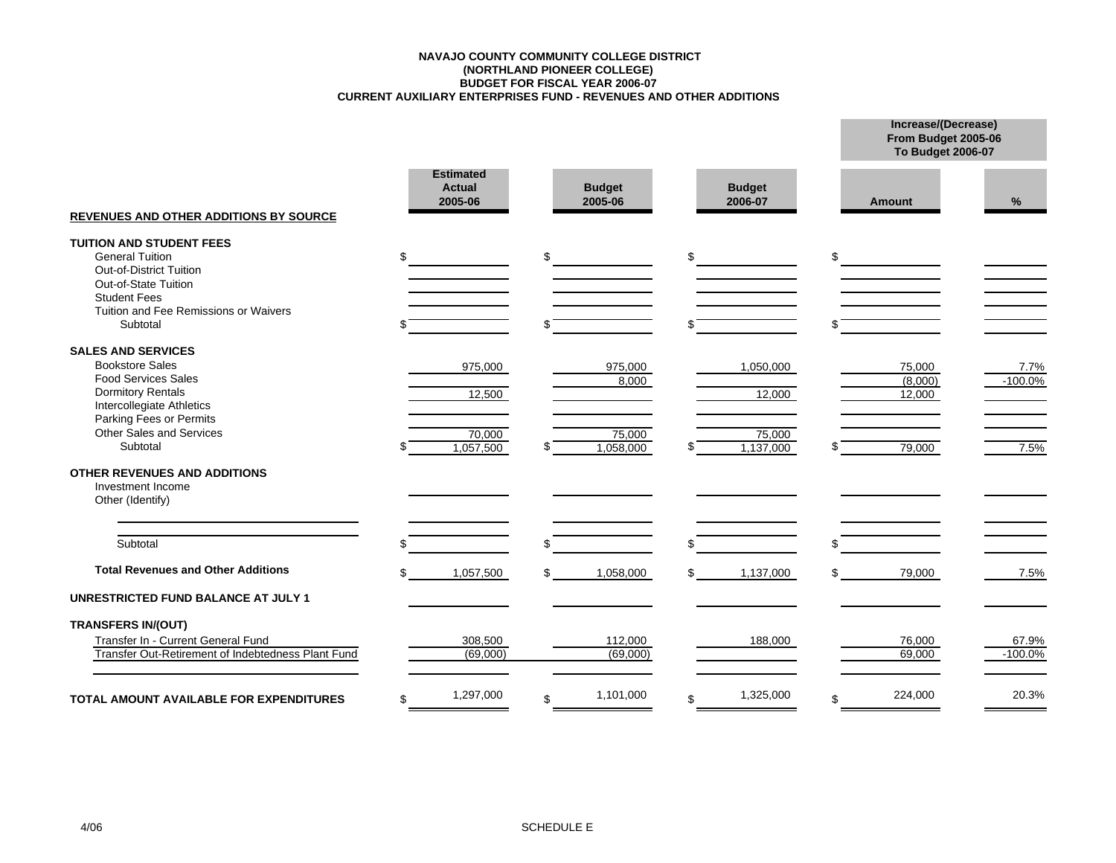#### **CURRENT AUXILIARY ENTERPRISES FUND - REVENUES AND OTHER ADDITIONS BUDGET FOR FISCAL YEAR 2006-07 (NORTHLAND PIONEER COLLEGE) NAVAJO COUNTY COMMUNITY COLLEGE DISTRICT**

|                                                                                                                                                                                                               |                                              |                                              |                                            | From Budget 2005-06<br><b>To Budget 2006-07</b> |                            |
|---------------------------------------------------------------------------------------------------------------------------------------------------------------------------------------------------------------|----------------------------------------------|----------------------------------------------|--------------------------------------------|-------------------------------------------------|----------------------------|
| <b>REVENUES AND OTHER ADDITIONS BY SOURCE</b>                                                                                                                                                                 | <b>Estimated</b><br><b>Actual</b><br>2005-06 | <b>Budget</b><br>2005-06                     | <b>Budget</b><br>2006-07                   | <b>Amount</b>                                   | %                          |
| <b>TUITION AND STUDENT FEES</b><br><b>General Tuition</b><br>Out-of-District Tuition<br>Out-of-State Tuition<br><b>Student Fees</b><br>Tuition and Fee Remissions or Waivers<br>Subtotal                      | \$.                                          | \$                                           | \$.                                        | \$                                              |                            |
| <b>SALES AND SERVICES</b><br><b>Bookstore Sales</b><br><b>Food Services Sales</b><br><b>Dormitory Rentals</b><br>Intercollegiate Athletics<br>Parking Fees or Permits<br>Other Sales and Services<br>Subtotal | 975,000<br>12,500<br>70,000<br>1,057,500     | 975,000<br>8,000<br>75,000<br>1,058,000<br>S | 1,050,000<br>12,000<br>75,000<br>1,137,000 | 75,000<br>(8,000)<br>12,000<br>79,000           | 7.7%<br>$-100.0\%$<br>7.5% |
| <b>OTHER REVENUES AND ADDITIONS</b><br>Investment Income<br>Other (Identify)                                                                                                                                  |                                              |                                              |                                            |                                                 |                            |
| Subtotal                                                                                                                                                                                                      |                                              | \$                                           |                                            | \$.                                             |                            |
| <b>Total Revenues and Other Additions</b><br><b>UNRESTRICTED FUND BALANCE AT JULY 1</b>                                                                                                                       | 1,057,500<br>\$.                             | 1,058,000<br>\$                              | 1,137,000<br>\$                            | 79,000<br>\$                                    | 7.5%                       |
| <b>TRANSFERS IN/(OUT)</b><br>Transfer In - Current General Fund<br>Transfer Out-Retirement of Indebtedness Plant Fund                                                                                         | 308,500<br>(69,000)                          | 112,000<br>(69,000)                          | 188,000                                    | 76,000<br>69,000                                | 67.9%<br>$-100.0%$         |
| TOTAL AMOUNT AVAILABLE FOR EXPENDITURES                                                                                                                                                                       | 1,297,000<br>ደ                               | 1,101,000<br>\$                              | 1,325,000<br>\$                            | 224,000<br>\$                                   | 20.3%                      |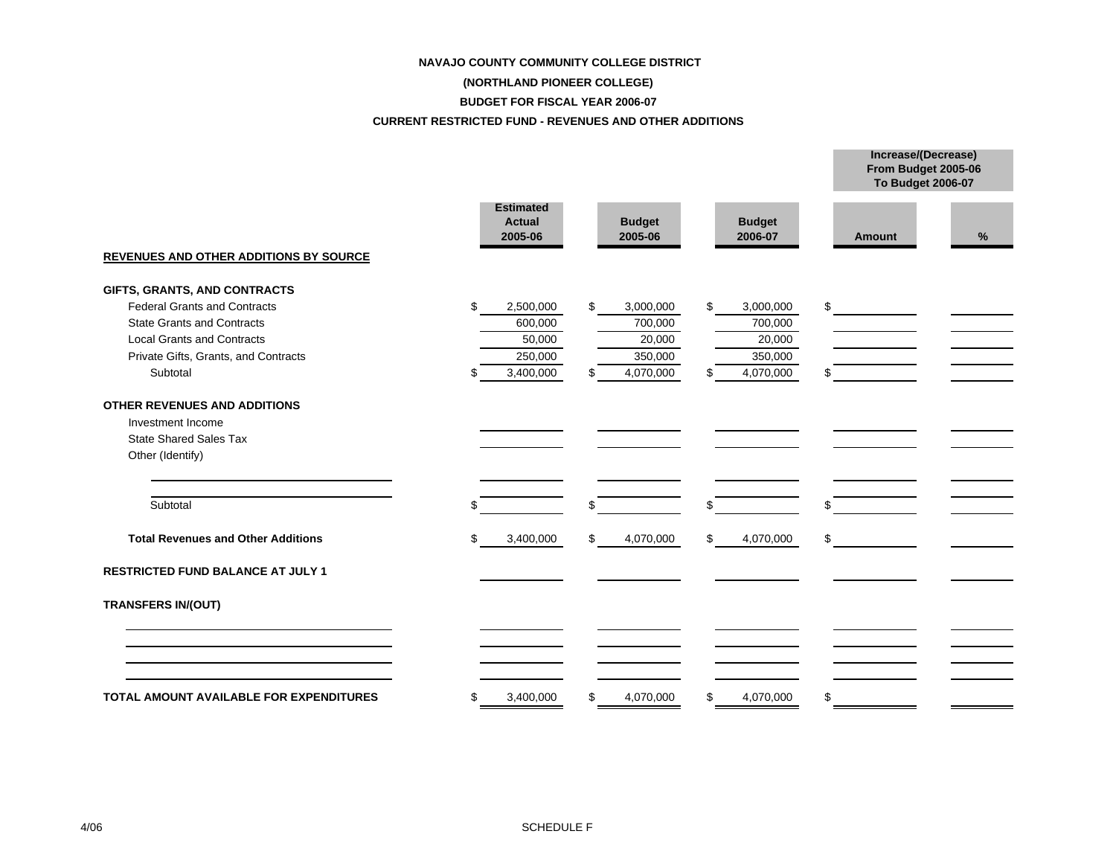#### **NAVAJO COUNTY COMMUNITY COLLEGE DISTRICT**

## **(NORTHLAND PIONEER COLLEGE)**

#### **BUDGET FOR FISCAL YEAR 2006-07**

#### **CURRENT RESTRICTED FUND - REVENUES AND OTHER ADDITIONS**

|                                                                                                        |                                              |                          |                          | From Budget 2005-06<br>To Budget 2006-07 |      |
|--------------------------------------------------------------------------------------------------------|----------------------------------------------|--------------------------|--------------------------|------------------------------------------|------|
| <b>REVENUES AND OTHER ADDITIONS BY SOURCE</b>                                                          | <b>Estimated</b><br><b>Actual</b><br>2005-06 | <b>Budget</b><br>2005-06 | <b>Budget</b><br>2006-07 | <b>Amount</b>                            | $\%$ |
|                                                                                                        |                                              |                          |                          |                                          |      |
| GIFTS, GRANTS, AND CONTRACTS<br><b>Federal Grants and Contracts</b>                                    | \$                                           | \$                       | \$                       | \$                                       |      |
| <b>State Grants and Contracts</b>                                                                      | 2,500,000<br>600,000                         | 3,000,000                | 3,000,000                |                                          |      |
| <b>Local Grants and Contracts</b>                                                                      | 50,000                                       | 700,000<br>20,000        | 700,000<br>20,000        |                                          |      |
| Private Gifts, Grants, and Contracts                                                                   | 250,000                                      | 350,000                  | 350,000                  |                                          |      |
| Subtotal                                                                                               | 3,400,000<br>ß.                              | 4,070,000<br>\$.         | 4,070,000<br>\$          | \$                                       |      |
|                                                                                                        |                                              |                          |                          |                                          |      |
| OTHER REVENUES AND ADDITIONS<br>Investment Income<br><b>State Shared Sales Tax</b><br>Other (Identify) |                                              |                          |                          |                                          |      |
| Subtotal                                                                                               |                                              | \$                       | \$                       | \$                                       |      |
| <b>Total Revenues and Other Additions</b>                                                              | 3,400,000<br>\$                              | \$<br>4,070,000          | \$<br>4,070,000          | \$                                       |      |
| <b>RESTRICTED FUND BALANCE AT JULY 1</b>                                                               |                                              |                          |                          |                                          |      |
| <b>TRANSFERS IN/(OUT)</b>                                                                              |                                              |                          |                          |                                          |      |
|                                                                                                        |                                              |                          |                          |                                          |      |
| <b>TOTAL AMOUNT AVAILABLE FOR EXPENDITURES</b>                                                         | 3,400,000<br>\$                              | 4,070,000<br>\$          | 4,070,000<br>\$          | \$                                       |      |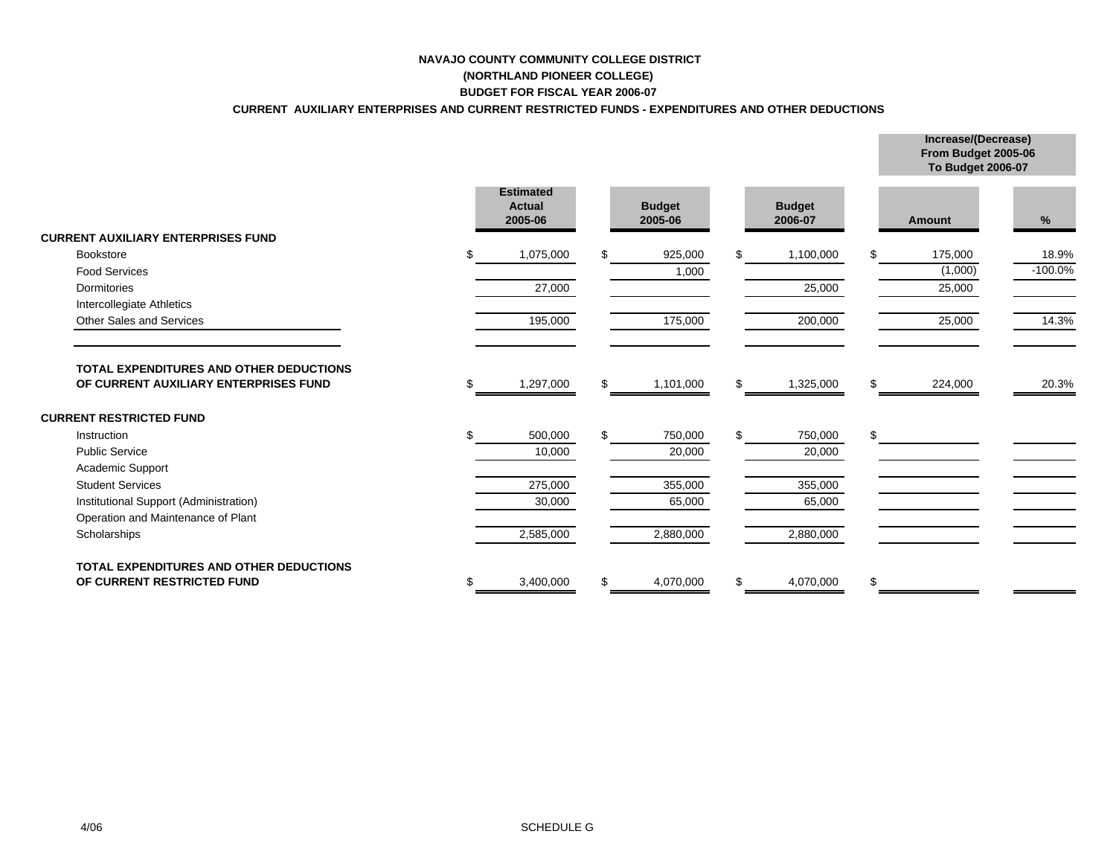# **NAVAJO COUNTY COMMUNITY COLLEGE DISTRICT**

#### **(NORTHLAND PIONEER COLLEGE) BUDGET FOR FISCAL YEAR 2006-07**

### **CURRENT AUXILIARY ENTERPRISES AND CURRENT RESTRICTED FUNDS - EXPENDITURES AND OTHER DEDUCTIONS**

|                                                                                         |   |                                              |     |                          |     |                          |     | From Budget 2005-06<br>To Budget 2006-07 |           |
|-----------------------------------------------------------------------------------------|---|----------------------------------------------|-----|--------------------------|-----|--------------------------|-----|------------------------------------------|-----------|
|                                                                                         |   | <b>Estimated</b><br><b>Actual</b><br>2005-06 |     | <b>Budget</b><br>2005-06 |     | <b>Budget</b><br>2006-07 |     | <b>Amount</b>                            | %         |
| <b>CURRENT AUXILIARY ENTERPRISES FUND</b>                                               |   |                                              |     |                          |     |                          |     |                                          |           |
| <b>Bookstore</b>                                                                        |   | 1,075,000                                    |     | 925,000                  | \$. | 1,100,000                | \$. | 175,000                                  | 18.9%     |
| <b>Food Services</b>                                                                    |   |                                              |     | 1,000                    |     |                          |     | (1,000)                                  | $-100.0%$ |
| Dormitories                                                                             |   | 27,000                                       |     |                          |     | 25,000                   |     | 25,000                                   |           |
| Intercollegiate Athletics                                                               |   |                                              |     |                          |     |                          |     |                                          |           |
| Other Sales and Services                                                                |   | 195,000                                      |     | 175,000                  |     | 200,000                  |     | 25,000                                   | 14.3%     |
| <b>TOTAL EXPENDITURES AND OTHER DEDUCTIONS</b><br>OF CURRENT AUXILIARY ENTERPRISES FUND |   | 1,297,000                                    |     | 1,101,000                | \$  | 1,325,000                | \$  | 224,000                                  | 20.3%     |
| <b>CURRENT RESTRICTED FUND</b>                                                          |   |                                              |     |                          |     |                          |     |                                          |           |
| Instruction                                                                             |   | 500,000                                      | \$. | 750,000                  | \$  | 750,000                  | \$  |                                          |           |
| <b>Public Service</b>                                                                   |   | 10,000                                       |     | 20,000                   |     | 20,000                   |     |                                          |           |
| Academic Support                                                                        |   |                                              |     |                          |     |                          |     |                                          |           |
| <b>Student Services</b>                                                                 |   | 275,000                                      |     | 355,000                  |     | 355,000                  |     |                                          |           |
| Institutional Support (Administration)                                                  |   | 30,000                                       |     | 65,000                   |     | 65,000                   |     |                                          |           |
| Operation and Maintenance of Plant                                                      |   |                                              |     |                          |     |                          |     |                                          |           |
| Scholarships                                                                            |   | 2,585,000                                    |     | 2,880,000                |     | 2,880,000                |     |                                          |           |
| <b>TOTAL EXPENDITURES AND OTHER DEDUCTIONS</b>                                          |   |                                              |     |                          |     |                          |     |                                          |           |
| OF CURRENT RESTRICTED FUND                                                              | S | 3,400,000                                    | \$. | 4,070,000                | \$  | 4,070,000                | \$  |                                          |           |